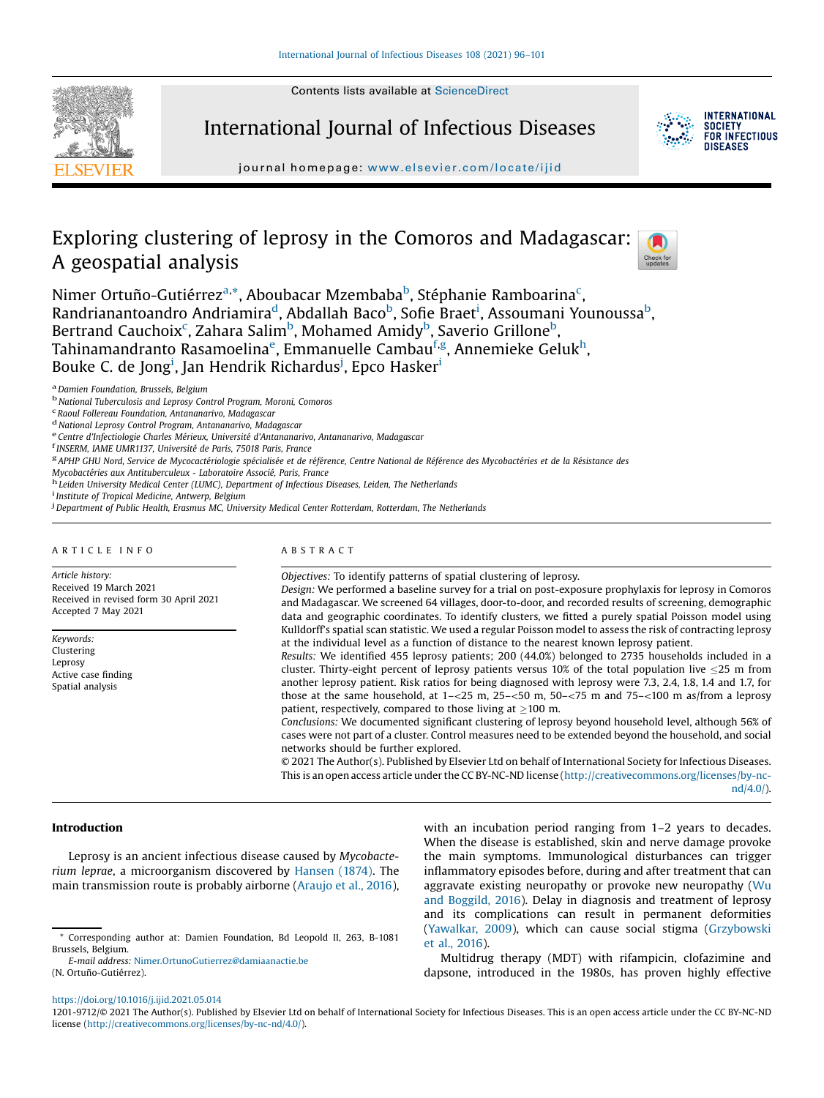Contents lists available at [ScienceDirect](http://www.sciencedirect.com/science/journal/12019712)



International Journal of Infectious Diseases



**INTERNATIONAL SOCIETY** FOR INFECTIOUS **DISFASES** 

journal homepage: <www.elsevier.com/locate/ijid>

# Exploring clustering of leprosy in the Comoros and Madagascar: A geospatial analysis



Nimer Ortuño-Gutiérrez<sup>a,\*</sup>, Aboubacar Mzembaba<sup>b</sup>, Stéphanie Ramboarina<sup>c</sup>, Randrianantoandro Andriamira<sup>d</sup>, Abdallah Baco<sup>b</sup>, Sofie Braet<sup>i</sup>, Assoumani Younoussa<sup>b</sup>, Bertrand Cauchoix<sup>c</sup>, Zahara Salim<sup>b</sup>, Mohamed Amidy<sup>b</sup>, Saverio Grillone<sup>b</sup>, Tahinamandranto Rasamoelina<sup>e</sup>, Emmanuelle Cambau<sup>f,g</sup>, Annemieke Geluk<sup>h</sup>, Bouke C. de Jong<sup>i</sup>, Jan Hendrik Richardus<sup>j</sup>, Epco Hasker<sup>i</sup>

<sup>a</sup> National Leprosy Control Program, Antananarivo, Madagascar danational Leprosy Control Program, Antananarivo, Madagascar eCentre d'Infectiologie Charles Mérieux, Université d'Antananarivo, Antananarivo, Madagascar funi

<sup>8</sup> APHP GHU Nord, Service de Mycocactériologie spécialisée et de référence, Centre National de Référence des Mycobactéries et de la Résistance des

Mycobactéries aux Antituberculeux - Laboratoire Associé, Paris, France<br><sup>In</sup> Leiden University Medical Center (LUMC), Department of Infectious Diseases, Leiden, The Netherlands

<sup>i</sup> Institute of Tropical Medicine, Antwerp, Belgium

<sup>j</sup> Department of Public Health, Erasmus MC, University Medical Center Rotterdam, Rotterdam, The Netherlands

#### A R T I C L E I N F O

Article history: Received 19 March 2021 Received in revised form 30 April 2021 Accepted 7 May 2021

Keywords: Clustering Leprosy Active case finding Spatial analysis

# A B S T R A C T

Objectives: To identify patterns of spatial clustering of leprosy.

Design: We performed a baseline survey for a trial on post-exposure prophylaxis for leprosy in Comoros and Madagascar. We screened 64 villages, door-to-door, and recorded results of screening, demographic data and geographic coordinates. To identify clusters, we fitted a purely spatial Poisson model using Kulldorff's spatial scan statistic. We used a regular Poisson model to assess the risk of contracting leprosy at the individual level as a function of distance to the nearest known leprosy patient.

Results: We identified 455 leprosy patients; 200 (44.0%) belonged to 2735 households included in a cluster. Thirty-eight percent of leprosy patients versus 10% of the total population live  $\leq$ 25 m from another leprosy patient. Risk ratios for being diagnosed with leprosy were 7.3, 2.4, 1.8, 1.4 and 1.7, for those at the same household, at  $1 - 25$  m,  $25 - 50$  m,  $50 - 75$  m and  $75 - 100$  m as/from a leprosy patient, respectively, compared to those living at  $\geq$ 100 m.

Conclusions: We documented significant clustering of leprosy beyond household level, although 56% of cases were not part of a cluster. Control measures need to be extended beyond the household, and social networks should be further explored.

© 2021 The Author(s). Published by Elsevier Ltd on behalf of International Society for Infectious Diseases. This is an open access article under the CC BY-NC-ND license [\(http://creativecommons.org/licenses/by-nc](http://creativecommons.org/licenses/by-nc-nd/4.0/)[nd/4.0/](http://creativecommons.org/licenses/by-nc-nd/4.0/)).

## Introduction

Leprosy is an ancient infectious disease caused by Mycobacterium leprae, a microorganism discovered by [Hansen](#page-5-0) (1874). The main transmission route is probably airborne [\(Araujo](#page-5-0) et al., 2016),

E-mail address: [Nimer.OrtunoGutierrez@damiaanactie.be](mailto:Nimer.OrtunoGutierrez@damiaanactie.be) (N. Ortuño-Gutiérrez).

with an incubation period ranging from 1–2 years to decades. When the disease is established, skin and nerve damage provoke the main symptoms. Immunological disturbances can trigger inflammatory episodes before, during and after treatment that can aggravate existing neuropathy or provoke new neuropathy [\(Wu](#page-5-0) and [Boggild,](#page-5-0) 2016). Delay in diagnosis and treatment of leprosy and its complications can result in permanent deformities ([Yawalkar,](#page-5-0) 2009), which can cause social stigma ([Grzybowski](#page-5-0) et al., [2016](#page-5-0)).

Multidrug therapy (MDT) with rifampicin, clofazimine and dapsone, introduced in the 1980s, has proven highly effective

<sup>&</sup>lt;sup>a</sup> Damien Foundation, Brussels, Belgium<br><sup>b</sup> National Tuberculosis and Leprosy Control Program, Moroni, Comoros<br><sup>c</sup> Raoul Follereau Foundation, Antananarivo, Madagascar

<sup>\*</sup> Corresponding author at: Damien Foundation, Bd Leopold II, 263, B-1081 Brussels, Belgium.

<https://doi.org/10.1016/j.ijid.2021.05.014>

<sup>1201-9712/©</sup> 2021 The Author(s). Published by Elsevier Ltd on behalf of International Society for Infectious Diseases. This is an open access article under the CC BY-NC-ND license [\(http://creativecommons.org/licenses/by-nc-nd/4.0/\)](http://creativecommons.org/licenses/by-nc-nd/4.0/).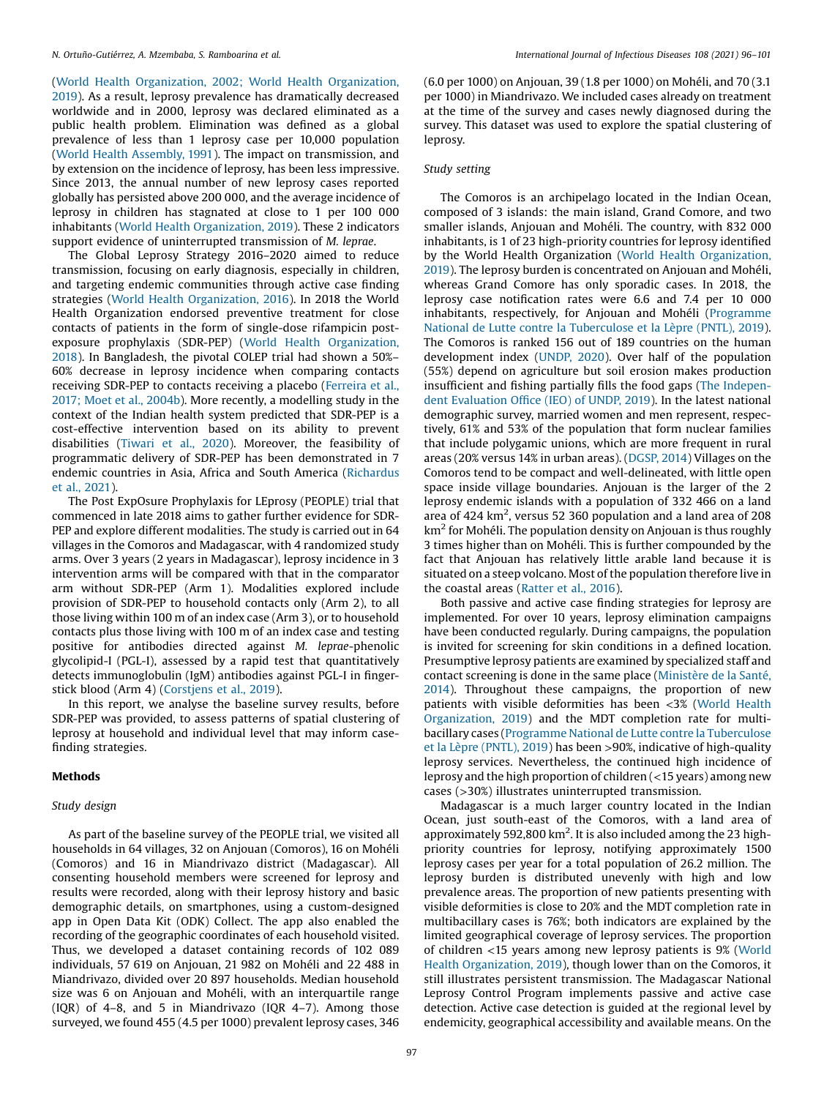(World Health Organization, 2002; World Health [Organization,](#page-5-0) [2019](#page-5-0)). As a result, leprosy prevalence has dramatically decreased worldwide and in 2000, leprosy was declared eliminated as a public health problem. Elimination was defined as a global prevalence of less than 1 leprosy case per 10,000 population (World Health [Assembly,](#page-5-0) 1991). The impact on transmission, and by extension on the incidence of leprosy, has been less impressive. Since 2013, the annual number of new leprosy cases reported globally has persisted above 200 000, and the average incidence of leprosy in children has stagnated at close to 1 per 100 000 inhabitants (World Health [Organization,](#page-5-0) 2019). These 2 indicators support evidence of uninterrupted transmission of M. leprae.

The Global Leprosy Strategy 2016–2020 aimed to reduce transmission, focusing on early diagnosis, especially in children, and targeting endemic communities through active case finding strategies (World Health [Organization,](#page-5-0) 2016). In 2018 the World Health Organization endorsed preventive treatment for close contacts of patients in the form of single-dose rifampicin postexposure prophylaxis (SDR-PEP) (World Health [Organization,](#page-5-0) [2018](#page-5-0)). In Bangladesh, the pivotal COLEP trial had shown a 50%– 60% decrease in leprosy incidence when comparing contacts receiving SDR-PEP to contacts receiving a placebo ([Ferreira](#page-5-0) et al., 2017; Moet et al., [2004b](#page-5-0)). More recently, a modelling study in the context of the Indian health system predicted that SDR-PEP is a cost-effective intervention based on its ability to prevent disabilities [\(Tiwari](#page-5-0) et al., 2020). Moreover, the feasibility of programmatic delivery of SDR-PEP has been demonstrated in 7 endemic countries in Asia, Africa and South America ([Richardus](#page-5-0) et al., [2021](#page-5-0)).

The Post ExpOsure Prophylaxis for LEprosy (PEOPLE) trial that commenced in late 2018 aims to gather further evidence for SDR-PEP and explore different modalities. The study is carried out in 64 villages in the Comoros and Madagascar, with 4 randomized study arms. Over 3 years (2 years in Madagascar), leprosy incidence in 3 intervention arms will be compared with that in the comparator arm without SDR-PEP (Arm 1). Modalities explored include provision of SDR-PEP to household contacts only (Arm 2), to all those living within 100 m of an index case (Arm 3), or to household contacts plus those living with 100 m of an index case and testing positive for antibodies directed against M. leprae-phenolic glycolipid-I (PGL-I), assessed by a rapid test that quantitatively detects immunoglobulin (IgM) antibodies against PGL-I in fingerstick blood (Arm 4) ([Corstjens](#page-5-0) et al., 2019).

In this report, we analyse the baseline survey results, before SDR-PEP was provided, to assess patterns of spatial clustering of leprosy at household and individual level that may inform casefinding strategies.

## Methods

## Study design

As part of the baseline survey of the PEOPLE trial, we visited all households in 64 villages, 32 on Anjouan (Comoros), 16 on Mohéli (Comoros) and 16 in Miandrivazo district (Madagascar). All consenting household members were screened for leprosy and results were recorded, along with their leprosy history and basic demographic details, on smartphones, using a custom-designed app in Open Data Kit (ODK) Collect. The app also enabled the recording of the geographic coordinates of each household visited. Thus, we developed a dataset containing records of 102 089 individuals, 57 619 on Anjouan, 21 982 on Mohéli and 22 488 in Miandrivazo, divided over 20 897 households. Median household size was 6 on Anjouan and Mohéli, with an interquartile range (IQR) of 4–8, and 5 in Miandrivazo (IQR 4–7). Among those surveyed, we found 455 (4.5 per 1000) prevalent leprosy cases, 346 (6.0 per 1000) on Anjouan, 39 (1.8 per 1000) on Mohéli, and 70 (3.1 per 1000) in Miandrivazo. We included cases already on treatment at the time of the survey and cases newly diagnosed during the survey. This dataset was used to explore the spatial clustering of leprosy.

# Study setting

The Comoros is an archipelago located in the Indian Ocean, composed of 3 islands: the main island, Grand Comore, and two smaller islands, Anjouan and Mohéli. The country, with 832 000 inhabitants, is 1 of 23 high-priority countries for leprosy identified by the World Health Organization (World Health [Organization,](#page-5-0) [2019](#page-5-0)). The leprosy burden is concentrated on Anjouan and Mohéli, whereas Grand Comore has only sporadic cases. In 2018, the leprosy case notification rates were 6.6 and 7.4 per 10 000 inhabitants, respectively, for Anjouan and Mohéli [\(Programme](#page-5-0) National de Lutte contre la [Tuberculose](#page-5-0) et la Lèpre (PNTL), 2019). The Comoros is ranked 156 out of 189 countries on the human development index ([UNDP,](#page-5-0) 2020). Over half of the population (55%) depend on agriculture but soil erosion makes production insufficient and fishing partially fills the food gaps (The [Indepen](#page-5-0)dent [Evaluation](#page-5-0) Office (IEO) of UNDP, 2019). In the latest national demographic survey, married women and men represent, respectively, 61% and 53% of the population that form nuclear families that include polygamic unions, which are more frequent in rural areas (20% versus 14% in urban areas). [\(DGSP,](#page-5-0) 2014) Villages on the Comoros tend to be compact and well-delineated, with little open space inside village boundaries. Anjouan is the larger of the 2 leprosy endemic islands with a population of 332 466 on a land area of  $424 \mathrm{ km}^2$ , versus 52 360 population and a land area of 208  $km<sup>2</sup>$  for Mohéli. The population density on Anjouan is thus roughly 3 times higher than on Mohéli. This is further compounded by the fact that Anjouan has relatively little arable land because it is situated on a steep volcano. Most of the population therefore live in the coastal areas ([Ratter](#page-5-0) et al., 2016).

Both passive and active case finding strategies for leprosy are implemented. For over 10 years, leprosy elimination campaigns have been conducted regularly. During campaigns, the population is invited for screening for skin conditions in a defined location. Presumptive leprosy patients are examined by specialized staff and contact screening is done in the same place ([Ministère](#page-5-0) de la Santé, [2014](#page-5-0)). Throughout these campaigns, the proportion of new patients with visible deformities has been <3% (World [Health](#page-5-0) [Organization,](#page-5-0) 2019) and the MDT completion rate for multibacillary cases (Programme National de Lutte contre la [Tuberculose](#page-5-0) et la Lèpre [\(PNTL\),](#page-5-0) 2019) has been >90%, indicative of high-quality leprosy services. Nevertheless, the continued high incidence of leprosy and the high proportion of children (<15 years) among new cases (>30%) illustrates uninterrupted transmission.

Madagascar is a much larger country located in the Indian Ocean, just south-east of the Comoros, with a land area of approximately 592,800 km<sup>2</sup>. It is also included among the 23 highpriority countries for leprosy, notifying approximately 1500 leprosy cases per year for a total population of 26.2 million. The leprosy burden is distributed unevenly with high and low prevalence areas. The proportion of new patients presenting with visible deformities is close to 20% and the MDT completion rate in multibacillary cases is 76%; both indicators are explained by the limited geographical coverage of leprosy services. The proportion of children <15 years among new leprosy patients is 9% ([World](#page-5-0) Health [Organization,](#page-5-0) 2019), though lower than on the Comoros, it still illustrates persistent transmission. The Madagascar National Leprosy Control Program implements passive and active case detection. Active case detection is guided at the regional level by endemicity, geographical accessibility and available means. On the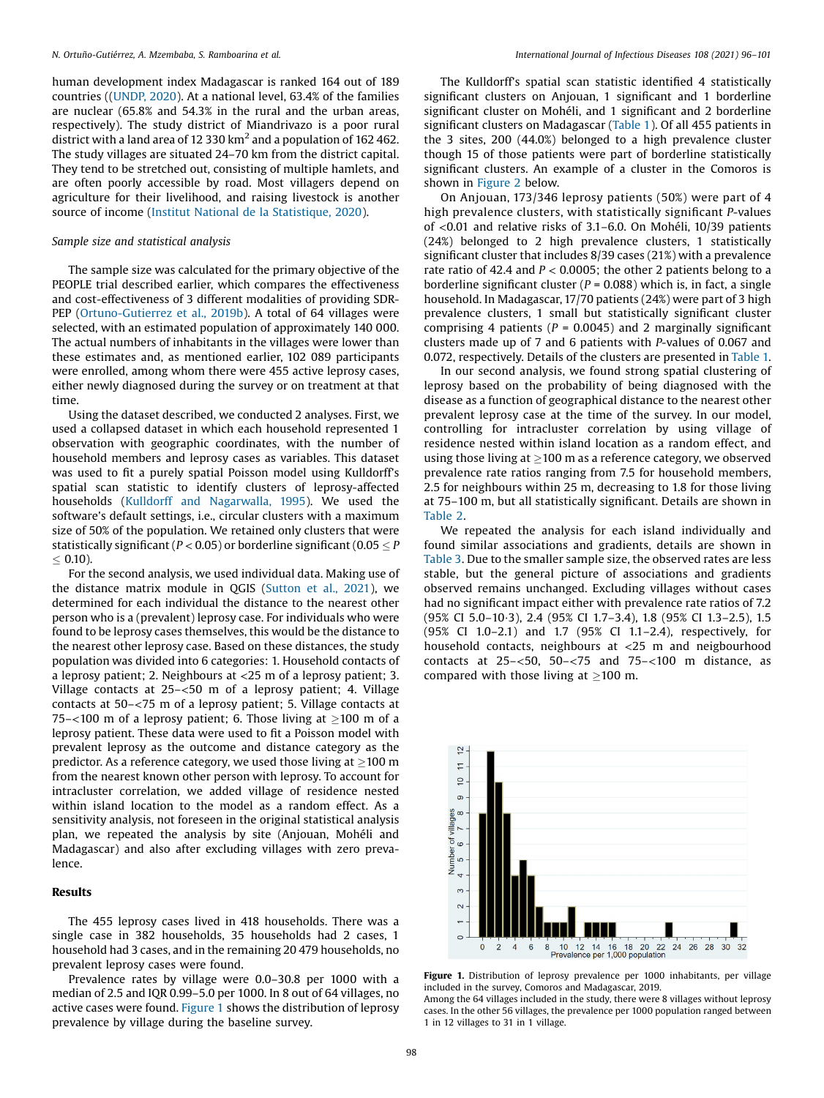human development index Madagascar is ranked 164 out of 189 countries (([UNDP,](#page-5-0) 2020). At a national level, 63.4% of the families are nuclear (65.8% and 54.3% in the rural and the urban areas, respectively). The study district of Miandrivazo is a poor rural district with a land area of 12 330 km<sup>2</sup> and a population of 162 462. The study villages are situated 24–70 km from the district capital. They tend to be stretched out, consisting of multiple hamlets, and are often poorly accessible by road. Most villagers depend on agriculture for their livelihood, and raising livestock is another source of income (Institut National de la [Statistique,](#page-5-0) 2020).

#### Sample size and statistical analysis

The sample size was calculated for the primary objective of the PEOPLE trial described earlier, which compares the effectiveness and cost-effectiveness of 3 different modalities of providing SDR-PEP [\(Ortuno-Gutierrez](#page-5-0) et al., 2019b). A total of 64 villages were selected, with an estimated population of approximately 140 000. The actual numbers of inhabitants in the villages were lower than these estimates and, as mentioned earlier, 102 089 participants were enrolled, among whom there were 455 active leprosy cases, either newly diagnosed during the survey or on treatment at that time.

Using the dataset described, we conducted 2 analyses. First, we used a collapsed dataset in which each household represented 1 observation with geographic coordinates, with the number of household members and leprosy cases as variables. This dataset was used to fit a purely spatial Poisson model using Kulldorff's spatial scan statistic to identify clusters of leprosy-affected households (Kulldorff and [Nagarwalla,](#page-5-0) 1995). We used the software's default settings, i.e., circular clusters with a maximum size of 50% of the population. We retained only clusters that were statistically significant ( $P < 0.05$ ) or borderline significant ( $0.05 \leq P$  $\leq 0.10$ ).

For the second analysis, we used individual data. Making use of the distance matrix module in QGIS [\(Sutton](#page-5-0) et al., 2021), we determined for each individual the distance to the nearest other person who is a (prevalent) leprosy case. For individuals who were found to be leprosy cases themselves, this would be the distance to the nearest other leprosy case. Based on these distances, the study population was divided into 6 categories: 1. Household contacts of a leprosy patient; 2. Neighbours at <25 m of a leprosy patient; 3. Village contacts at 25–<50 m of a leprosy patient; 4. Village contacts at 50–<75 m of a leprosy patient; 5. Village contacts at 75– $<$ 100 m of a leprosy patient; 6. Those living at  $\geq$ 100 m of a leprosy patient. These data were used to fit a Poisson model with prevalent leprosy as the outcome and distance category as the predictor. As a reference category, we used those living at  $\geq$ 100 m from the nearest known other person with leprosy. To account for intracluster correlation, we added village of residence nested within island location to the model as a random effect. As a sensitivity analysis, not foreseen in the original statistical analysis plan, we repeated the analysis by site (Anjouan, Mohéli and Madagascar) and also after excluding villages with zero prevalence.

#### Results

The 455 leprosy cases lived in 418 households. There was a single case in 382 households, 35 households had 2 cases, 1 household had 3 cases, and in the remaining 20 479 households, no prevalent leprosy cases were found.

Prevalence rates by village were 0.0–30.8 per 1000 with a median of 2.5 and IQR 0.99–5.0 per 1000. In 8 out of 64 villages, no active cases were found. Figure 1 shows the distribution of leprosy prevalence by village during the baseline survey.

The Kulldorff's spatial scan statistic identified 4 statistically significant clusters on Anjouan, 1 significant and 1 borderline significant cluster on Mohéli, and 1 significant and 2 borderline significant clusters on Madagascar [\(Table](#page-3-0) 1). Of all 455 patients in the 3 sites, 200 (44.0%) belonged to a high prevalence cluster though 15 of those patients were part of borderline statistically significant clusters. An example of a cluster in the Comoros is shown in [Figure](#page-3-0) 2 below.

On Anjouan, 173/346 leprosy patients (50%) were part of 4 high prevalence clusters, with statistically significant P-values of <0.01 and relative risks of 3.1–6.0. On Mohéli, 10/39 patients (24%) belonged to 2 high prevalence clusters, 1 statistically significant cluster that includes 8/39 cases (21%) with a prevalence rate ratio of 42.4 and  $P < 0.0005$ ; the other 2 patients belong to a borderline significant cluster ( $P = 0.088$ ) which is, in fact, a single household. In Madagascar, 17/70 patients (24%) were part of 3 high prevalence clusters, 1 small but statistically significant cluster comprising 4 patients ( $P = 0.0045$ ) and 2 marginally significant clusters made up of 7 and 6 patients with P-values of 0.067 and 0.072, respectively. Details of the clusters are presented in [Table](#page-3-0) 1.

In our second analysis, we found strong spatial clustering of leprosy based on the probability of being diagnosed with the disease as a function of geographical distance to the nearest other prevalent leprosy case at the time of the survey. In our model, controlling for intracluster correlation by using village of residence nested within island location as a random effect, and using those living at  $\geq$  100 m as a reference category, we observed prevalence rate ratios ranging from 7.5 for household members, 2.5 for neighbours within 25 m, decreasing to 1.8 for those living at 75–100 m, but all statistically significant. Details are shown in [Table](#page-3-0) 2.

We repeated the analysis for each island individually and found similar associations and gradients, details are shown in [Table](#page-4-0) 3. Due to the smaller sample size, the observed rates are less stable, but the general picture of associations and gradients observed remains unchanged. Excluding villages without cases had no significant impact either with prevalence rate ratios of 7.2 (95% CI 5.0–103), 2.4 (95% CI 1.7–3.4), 1.8 (95% CI 1.3–2.5), 1.5 (95% CI 1.0–2.1) and 1.7 (95% CI 1.1–2.4), respectively, for household contacts, neighbours at <25 m and neigbourhood contacts at 25–<50, 50–<75 and 75–<100 m distance, as compared with those living at  $\geq$ 100 m.



Figure 1. Distribution of leprosy prevalence per 1000 inhabitants, per village included in the survey, Comoros and Madagascar, 2019.

Among the 64 villages included in the study, there were 8 villages without leprosy cases. In the other 56 villages, the prevalence per 1000 population ranged between 1 in 12 villages to 31 in 1 village.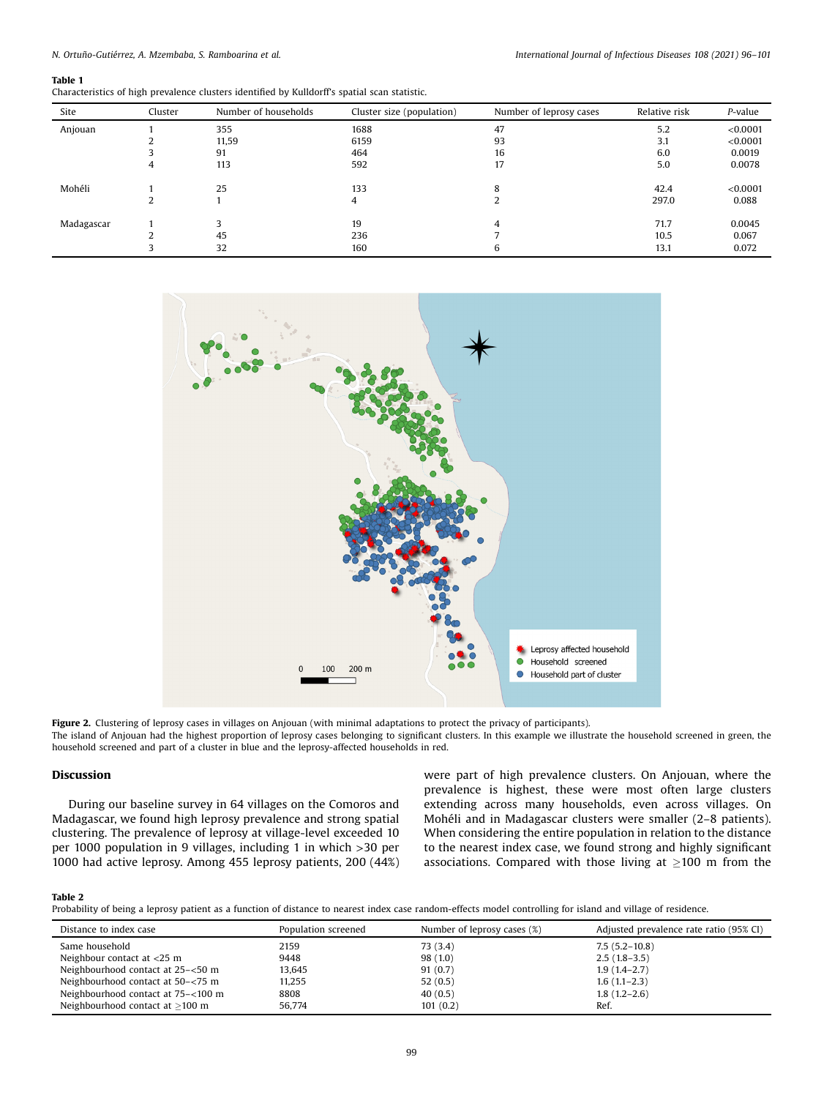<span id="page-3-0"></span>

#### Table 1

Characteristics of high prevalence clusters identified by Kulldorff's spatial scan statistic.

| Site       | Cluster | Number of households | Cluster size (population) | Number of leprosy cases | Relative risk | P-value  |
|------------|---------|----------------------|---------------------------|-------------------------|---------------|----------|
| Anjouan    |         | 355                  | 1688                      | 47                      | 5.2           | < 0.0001 |
|            |         | 11,59                | 6159                      | 93                      | 3.1           | < 0.0001 |
|            |         | 91                   | 464                       | 16                      | 6.0           | 0.0019   |
|            | 4       | 113                  | 592                       | 17                      | 5.0           | 0.0078   |
|            |         |                      |                           |                         |               |          |
| Mohéli     |         | 25                   | 133                       | 8                       | 42.4          | < 0.0001 |
|            |         |                      | 4                         |                         | 297.0         | 0.088    |
|            |         |                      |                           |                         |               |          |
| Madagascar |         |                      | 19                        | 4                       | 71.7          | 0.0045   |
|            |         | 45                   | 236                       |                         | 10.5          | 0.067    |
|            |         | 32                   | 160                       | 6                       | 13.1          | 0.072    |



Figure 2. Clustering of leprosy cases in villages on Anjouan (with minimal adaptations to protect the privacy of participants). The island of Anjouan had the highest proportion of leprosy cases belonging to significant clusters. In this example we illustrate the household screened in green, the household screened and part of a cluster in blue and the leprosy-affected households in red.

#### Discussion

During our baseline survey in 64 villages on the Comoros and Madagascar, we found high leprosy prevalence and strong spatial clustering. The prevalence of leprosy at village-level exceeded 10 per 1000 population in 9 villages, including 1 in which >30 per 1000 had active leprosy. Among 455 leprosy patients, 200 (44%) were part of high prevalence clusters. On Anjouan, where the prevalence is highest, these were most often large clusters extending across many households, even across villages. On Mohéli and in Madagascar clusters were smaller (2–8 patients). When considering the entire population in relation to the distance to the nearest index case, we found strong and highly significant associations. Compared with those living at  $\geq$ 100 m from the

#### Table 2

Probability of being a leprosy patient as a function of distance to nearest index case random-effects model controlling for island and village of residence.

| Distance to index case             | Population screened | Number of leprosy cases (%) | Adjusted prevalence rate ratio (95% CI) |
|------------------------------------|---------------------|-----------------------------|-----------------------------------------|
| Same household                     | 2159                | 73 (3.4)                    | $7.5(5.2 - 10.8)$                       |
| Neighbour contact at $<$ 25 m      | 9448                | 98(1.0)                     | $2.5(1.8-3.5)$                          |
| Neighbourhood contact at 25-<50 m  | 13,645              | 91(0.7)                     | $1.9(1.4-2.7)$                          |
| Neighbourhood contact at 50-<75 m  | 11,255              | 52(0.5)                     | $1.6(1.1-2.3)$                          |
| Neighbourhood contact at 75-<100 m | 8808                | 40(0.5)                     | $1.8(1.2-2.6)$                          |
| Neighbourhood contact at $>100$ m  | 56,774              | 101(0.2)                    | Ref.                                    |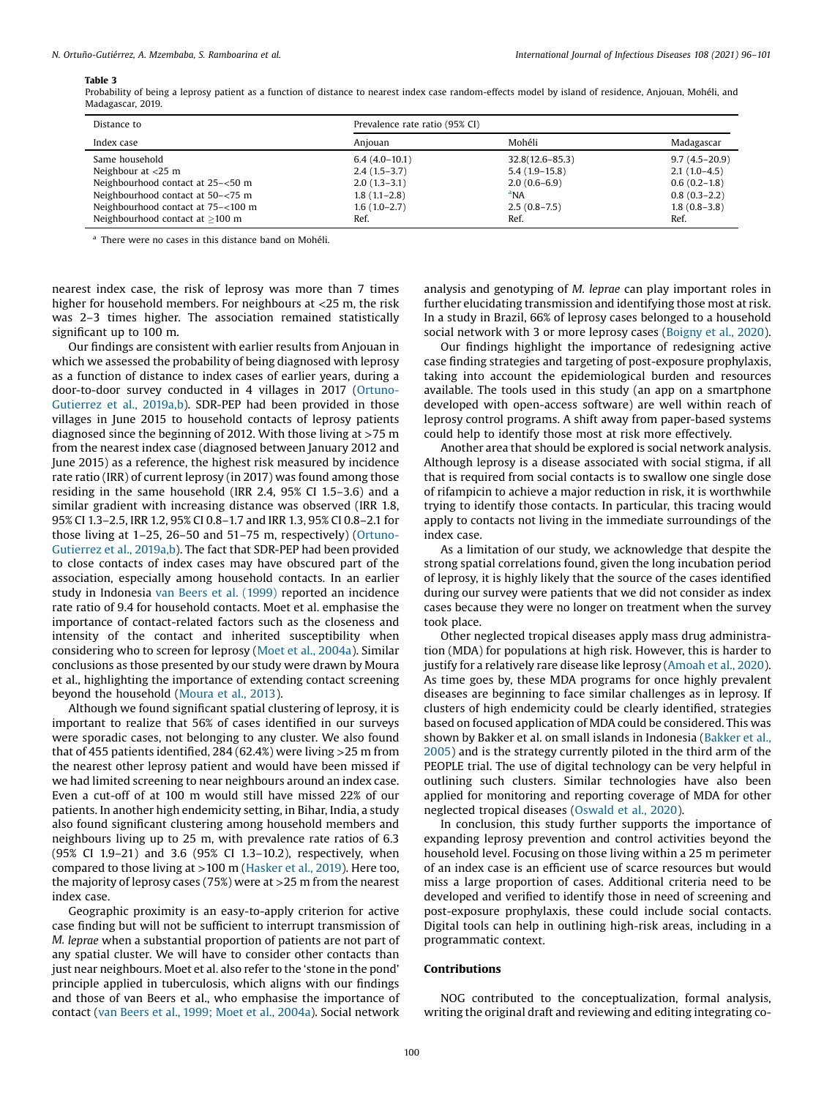#### <span id="page-4-0"></span>Table 3

Probability of being a leprosy patient as a function of distance to nearest index case random-effects model by island of residence, Anjouan, Mohéli, and Madagascar, 2019.

| Distance to                        | Prevalence rate ratio (95% CI) |                     |                   |  |
|------------------------------------|--------------------------------|---------------------|-------------------|--|
| Index case                         | Anjouan                        | Mohéli              | Madagascar        |  |
| Same household                     | $6.4(4.0-10.1)$                | $32.8(12.6 - 85.3)$ | $9.7(4.5 - 20.9)$ |  |
| Neighbour at $<$ 25 m              | $2.4(1.5-3.7)$                 | $5.4(1.9-15.8)$     | $2.1(1.0-4.5)$    |  |
| Neighbourhood contact at 25-<50 m  | $2.0(1.3-3.1)$                 | $2.0(0.6-6.9)$      | $0.6(0.2-1.8)$    |  |
| Neighbourhood contact at 50-<75 m  | $1.8(1.1-2.8)$                 | $^a$ NA             | $0.8(0.3-2.2)$    |  |
| Neighbourhood contact at 75-<100 m | $1.6(1.0-2.7)$                 | $2.5(0.8-7.5)$      | $1.8(0.8-3.8)$    |  |
| Neighbourhood contact at $>100$ m  | Ref.                           | Ref.                | Ref.              |  |

<sup>a</sup> There were no cases in this distance band on Mohéli.

nearest index case, the risk of leprosy was more than 7 times higher for household members. For neighbours at <25 m, the risk was 2–3 times higher. The association remained statistically significant up to 100 m.

Our findings are consistent with earlier results from Anjouan in which we assessed the probability of being diagnosed with leprosy as a function of distance to index cases of earlier years, during a door-to-door survey conducted in 4 villages in 2017 [\(Ortuno-](#page-5-0)[Gutierrez](#page-5-0) et al., 2019a,b). SDR-PEP had been provided in those villages in June 2015 to household contacts of leprosy patients diagnosed since the beginning of 2012. With those living at >75 m from the nearest index case (diagnosed between January 2012 and June 2015) as a reference, the highest risk measured by incidence rate ratio (IRR) of current leprosy (in 2017) was found among those residing in the same household (IRR 2.4, 95% CI 1.5–3.6) and a similar gradient with increasing distance was observed (IRR 1.8, 95% CI 1.3–2.5, IRR 1.2, 95% CI 0.8–1.7 and IRR 1.3, 95% CI 0.8–2.1 for those living at 1–25, 26–50 and 51–75 m, respectively) [\(Ortuno-](#page-5-0)[Gutierrez](#page-5-0) et al., 2019a,b). The fact that SDR-PEP had been provided to close contacts of index cases may have obscured part of the association, especially among household contacts. In an earlier study in Indonesia van Beers et al. [\(1999\)](#page-5-0) reported an incidence rate ratio of 9.4 for household contacts. Moet et al. emphasise the importance of contact-related factors such as the closeness and intensity of the contact and inherited susceptibility when considering who to screen for leprosy (Moet et al., [2004a](#page-5-0)). Similar conclusions as those presented by our study were drawn by Moura et al., highlighting the importance of extending contact screening beyond the household ([Moura](#page-5-0) et al., 2013).

Although we found significant spatial clustering of leprosy, it is important to realize that 56% of cases identified in our surveys were sporadic cases, not belonging to any cluster. We also found that of 455 patients identified, 284 (62.4%) were living >25 m from the nearest other leprosy patient and would have been missed if we had limited screening to near neighbours around an index case. Even a cut-off of at 100 m would still have missed 22% of our patients. In another high endemicity setting, in Bihar, India, a study also found significant clustering among household members and neighbours living up to 25 m, with prevalence rate ratios of 6.3 (95% CI 1.9–21) and 3.6 (95% CI 1.3–10.2), respectively, when compared to those living at >100 m ([Hasker](#page-5-0) et al., 2019). Here too, the majority of leprosy cases (75%) were at >25 m from the nearest index case.

Geographic proximity is an easy-to-apply criterion for active case finding but will not be sufficient to interrupt transmission of M. leprae when a substantial proportion of patients are not part of any spatial cluster. We will have to consider other contacts than just near neighbours. Moet et al. also refer to the 'stone in the pond' principle applied in tuberculosis, which aligns with our findings and those of van Beers et al., who emphasise the importance of contact (van Beers et al., 1999; Moet et al., [2004a\)](#page-5-0). Social network analysis and genotyping of M. leprae can play important roles in further elucidating transmission and identifying those most at risk. In a study in Brazil, 66% of leprosy cases belonged to a household social network with 3 or more leprosy cases ([Boigny](#page-5-0) et al., 2020).

Our findings highlight the importance of redesigning active case finding strategies and targeting of post-exposure prophylaxis, taking into account the epidemiological burden and resources available. The tools used in this study (an app on a smartphone developed with open-access software) are well within reach of leprosy control programs. A shift away from paper-based systems could help to identify those most at risk more effectively.

Another area that should be explored is social network analysis. Although leprosy is a disease associated with social stigma, if all that is required from social contacts is to swallow one single dose of rifampicin to achieve a major reduction in risk, it is worthwhile trying to identify those contacts. In particular, this tracing would apply to contacts not living in the immediate surroundings of the index case.

As a limitation of our study, we acknowledge that despite the strong spatial correlations found, given the long incubation period of leprosy, it is highly likely that the source of the cases identified during our survey were patients that we did not consider as index cases because they were no longer on treatment when the survey took place.

Other neglected tropical diseases apply mass drug administration (MDA) for populations at high risk. However, this is harder to justify for a relatively rare disease like leprosy ([Amoah](#page-5-0) et al., 2020). As time goes by, these MDA programs for once highly prevalent diseases are beginning to face similar challenges as in leprosy. If clusters of high endemicity could be clearly identified, strategies based on focused application of MDA could be considered. This was shown by Bakker et al. on small islands in Indonesia [\(Bakker](#page-5-0) et al., [2005](#page-5-0)) and is the strategy currently piloted in the third arm of the PEOPLE trial. The use of digital technology can be very helpful in outlining such clusters. Similar technologies have also been applied for monitoring and reporting coverage of MDA for other neglected tropical diseases ([Oswald](#page-5-0) et al., 2020).

In conclusion, this study further supports the importance of expanding leprosy prevention and control activities beyond the household level. Focusing on those living within a 25 m perimeter of an index case is an efficient use of scarce resources but would miss a large proportion of cases. Additional criteria need to be developed and verified to identify those in need of screening and post-exposure prophylaxis, these could include social contacts. Digital tools can help in outlining high-risk areas, including in a programmatic context.

## Contributions

NOG contributed to the conceptualization, formal analysis, writing the original draft and reviewing and editing integrating co